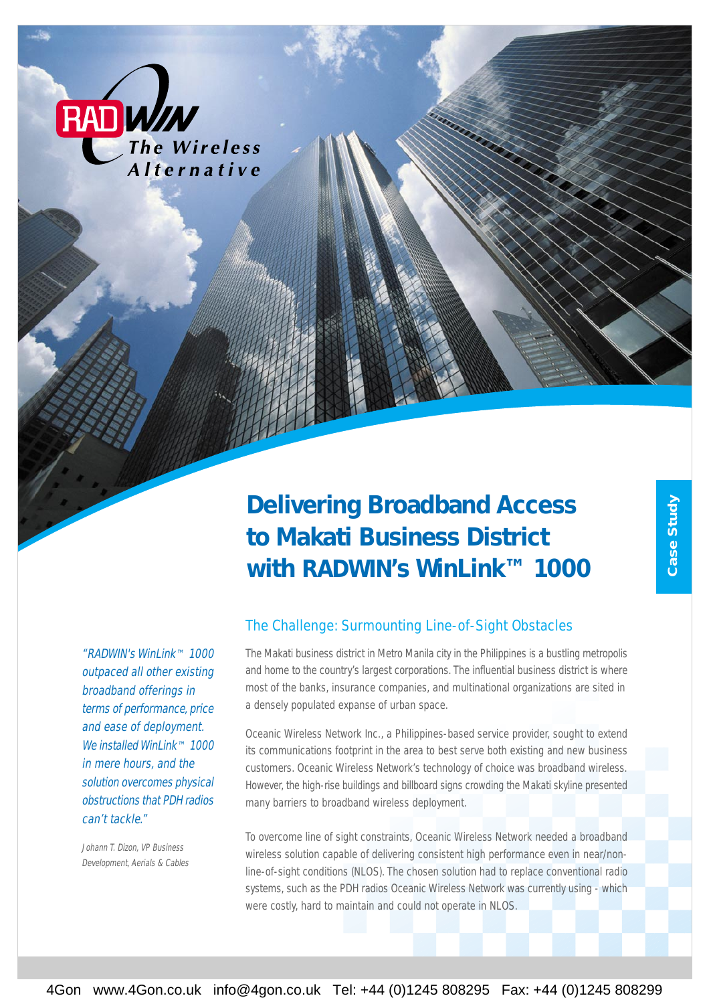

# *Delivering Broadband Access to Makati Business District with RADWIN's WinLink™ 1000*

"RADWIN's WinLink™ 1000 outpaced all other existing broadband offerings in terms of performance, price and ease of deployment. We installed WinLink™ 1000 in mere hours, and the solution overcomes physical obstructions that PDH radios can't tackle."

Johann T. Dizon, VP Business Development, Aerials & Cables

### The Challenge: Surmounting Line-of-Sight Obstacles

The Makati business district in Metro Manila city in the Philippines is a bustling metropolis and home to the country's largest corporations. The influential business district is where most of the banks, insurance companies, and multinational organizations are sited in a densely populated expanse of urban space.

Oceanic Wireless Network Inc., a Philippines-based service provider, sought to extend its communications footprint in the area to best serve both existing and new business customers. Oceanic Wireless Network's technology of choice was broadband wireless. However, the high-rise buildings and billboard signs crowding the Makati skyline presented many barriers to broadband wireless deployment.

To overcome line of sight constraints, Oceanic Wireless Network needed a broadband wireless solution capable of delivering consistent high performance even in near/nonline-of-sight conditions (NLOS). The chosen solution had to replace conventional radio systems, such as the PDH radios Oceanic Wireless Network was currently using - which were costly, hard to maintain and could not operate in NLOS.